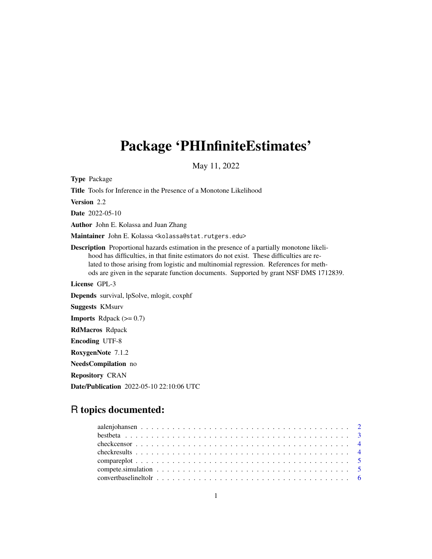## Package 'PHInfiniteEstimates'

May 11, 2022

Type Package Title Tools for Inference in the Presence of a Monotone Likelihood Version 2.2 Date 2022-05-10 Author John E. Kolassa and Juan Zhang Maintainer John E. Kolassa <kolassa@stat.rutgers.edu> Description Proportional hazards estimation in the presence of a partially monotone likelihood has difficulties, in that finite estimators do not exist. These difficulties are related to those arising from logistic and multinomial regression. References for methods are given in the separate function documents. Supported by grant NSF DMS 1712839. License GPL-3 Depends survival, lpSolve, mlogit, coxphf Suggests KMsurv **Imports** Rdpack  $(>= 0.7)$ RdMacros Rdpack Encoding UTF-8 RoxygenNote 7.1.2 NeedsCompilation no Repository CRAN Date/Publication 2022-05-10 22:10:06 UTC

## R topics documented: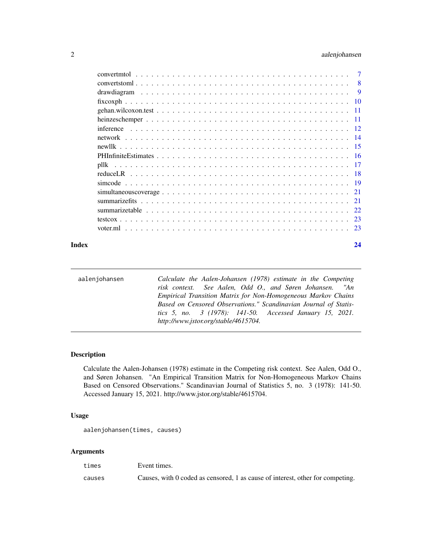<span id="page-1-0"></span>

|                                                                                                             | 8    |
|-------------------------------------------------------------------------------------------------------------|------|
|                                                                                                             | 9    |
|                                                                                                             | 10   |
|                                                                                                             | 11   |
|                                                                                                             | -11  |
| inference                                                                                                   | -12  |
|                                                                                                             | -14  |
|                                                                                                             | -15  |
|                                                                                                             | -16  |
| pllk                                                                                                        | -17  |
|                                                                                                             | -18  |
|                                                                                                             | - 19 |
| $simultaneous coverage \ldots \ldots \ldots \ldots \ldots \ldots \ldots \ldots \ldots \ldots \ldots \ldots$ | 21   |
|                                                                                                             | 21   |
|                                                                                                             | 22.  |
|                                                                                                             | -23  |
| voter.ml                                                                                                    | 23   |
|                                                                                                             |      |

#### **Index** [24](#page-23-0)

| aalenjohansen | Calculate the Aalen-Johansen (1978) estimate in the Competing    |
|---------------|------------------------------------------------------------------|
|               | risk context. See Aalen, Odd O., and Søren Johansen. "An         |
|               | Empirical Transition Matrix for Non-Homogeneous Markov Chains    |
|               | Based on Censored Observations." Scandinavian Journal of Statis- |
|               | tics 5, no. 3 (1978): 141-50. Accessed January 15, 2021.         |
|               | http://www.jstor.org/stable/4615704.                             |

## Description

Calculate the Aalen-Johansen (1978) estimate in the Competing risk context. See Aalen, Odd O., and Søren Johansen. "An Empirical Transition Matrix for Non-Homogeneous Markov Chains Based on Censored Observations." Scandinavian Journal of Statistics 5, no. 3 (1978): 141-50. Accessed January 15, 2021. http://www.jstor.org/stable/4615704.

## Usage

```
aalenjohansen(times, causes)
```
## Arguments

times Event times.

causes Causes, with 0 coded as censored, 1 as cause of interest, other for competing.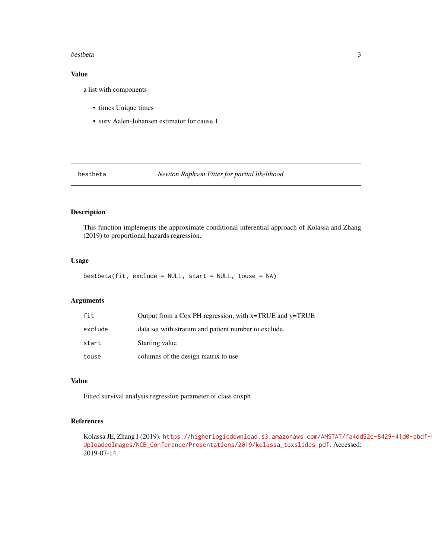#### <span id="page-2-0"></span>bestbeta 3

## Value

a list with components

- times Unique times
- surv Aalen-Johansen estimator for cause 1.

#### bestbeta *Newton Raphson Fitter for partial likelihood*

#### Description

This function implements the approximate conditional inferential approach of Kolassa and Zhang (2019) to proportional hazards regression.

## Usage

bestbeta(fit, exclude = NULL, start = NULL, touse = NA)

## Arguments

| fit     | Output from a Cox PH regression, with x=TRUE and y=TRUE |
|---------|---------------------------------------------------------|
| exclude | data set with stratum and patient number to exclude.    |
| start   | Starting value                                          |
| touse   | columns of the design matrix to use.                    |

## Value

Fitted survival analysis regression parameter of class coxph

## References

Kolassa JE, Zhang J (2019). [https://higherlogicdownload.s3.amazonaws.com/AMSTAT/fa4dd](https://higherlogicdownload.s3.amazonaws.com/AMSTAT/fa4dd52c-8429-41d0-abdf-0011047bfa19/UploadedImages/NCB_Conference/Presentations/2019/kolassa_toxslides.pdf)52c-8429-41d0-abdf-[UploadedImages/NCB\\_Conference/Presentations/2019/kolassa\\_toxslides.pdf](https://higherlogicdownload.s3.amazonaws.com/AMSTAT/fa4dd52c-8429-41d0-abdf-0011047bfa19/UploadedImages/NCB_Conference/Presentations/2019/kolassa_toxslides.pdf). Accessed: 2019-07-14.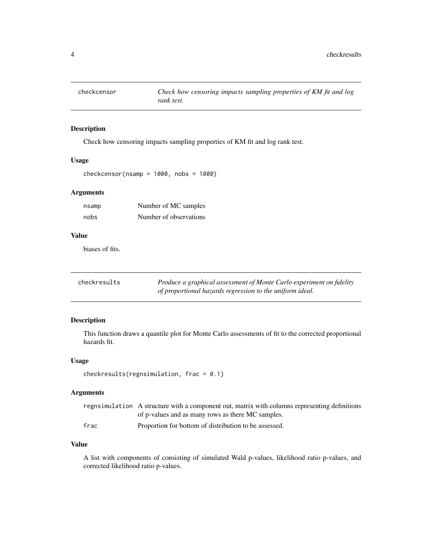<span id="page-3-0"></span>

## Description

Check how censoring impacts sampling properties of KM fit and log rank test.

## Usage

```
checkcensor(nsamp = 1000, nobs = 1000)
```
## Arguments

| nsamp | Number of MC samples   |
|-------|------------------------|
| nobs  | Number of observations |

## Value

biases of fits.

| checkresults | Produce a graphical assessment of Monte Carlo experiment on fidelity |
|--------------|----------------------------------------------------------------------|
|              | of proportional hazards regression to the uniform ideal.             |

## Description

This function draws a quantile plot for Monte Carlo assessments of fit to the corrected proportional hazards fit.

## Usage

```
checkresults(regnsimulation, frac = 0.1)
```
## Arguments

|      | regnsimulation A structure with a component out, matrix with columns representing definitions |
|------|-----------------------------------------------------------------------------------------------|
|      | of p-values and as many rows as there MC samples.                                             |
| frac | Proportion for bottom of distribution to be assessed.                                         |

## Value

A list with components of consisting of simulated Wald p-values, likelihood ratio p-values, and corrected likelihood ratio p-values.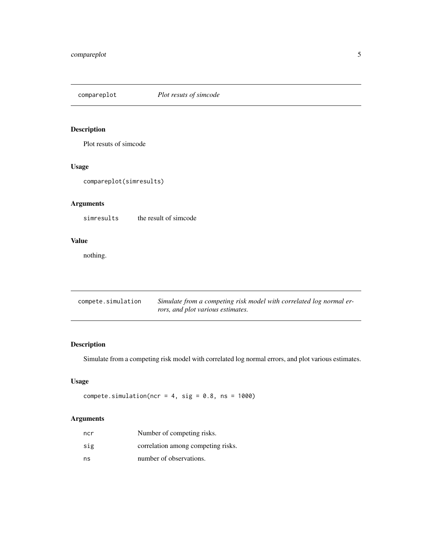## <span id="page-4-0"></span>compareplot *Plot resuts of simcode*

## Description

Plot resuts of simcode

## Usage

```
compareplot(simresults)
```
## Arguments

simresults the result of simcode

## Value

nothing.

| compete.simulation | Simulate from a competing risk model with correlated log normal er- |
|--------------------|---------------------------------------------------------------------|
|                    | rors, and plot various estimates.                                   |

## Description

Simulate from a competing risk model with correlated log normal errors, and plot various estimates.

## Usage

```
compete.simulation(ncr = 4, sig = 0.8, ns = 1000)
```
## Arguments

| ncr | Number of competing risks.         |
|-----|------------------------------------|
| sig | correlation among competing risks. |
| ns  | number of observations.            |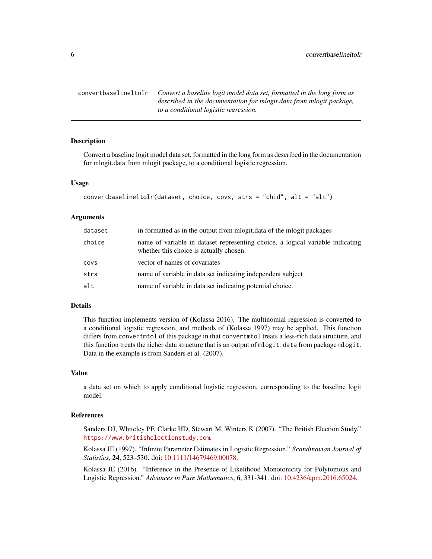<span id="page-5-0"></span>convertbaselineltolr *Convert a baseline logit model data set, formatted in the long form as described in the documentation for mlogit.data from mlogit package, to a conditional logistic regression.*

#### Description

Convert a baseline logit model data set, formatted in the long form as described in the documentation for mlogit.data from mlogit package, to a conditional logistic regression.

#### Usage

```
convertbaselineltolr(dataset, choice, covs, strs = "chid", alt = "alt")
```
## Arguments

| dataset | in formatted as in the output from moogit. data of the moogit packages                                                    |
|---------|---------------------------------------------------------------------------------------------------------------------------|
| choice  | name of variable in dataset representing choice, a logical variable indicating<br>whether this choice is actually chosen. |
| COVS    | vector of names of covariates                                                                                             |
| strs    | name of variable in data set indicating independent subject                                                               |
| alt     | name of variable in data set indicating potential choice.                                                                 |

## Details

This function implements version of (Kolassa 2016). The multinomial regression is converted to a conditional logistic regression, and methods of (Kolassa 1997) may be applied. This function differs from convertmtol of this package in that convertmtol treats a less-rich data structure, and this function treats the richer data structure that is an output of mlogit.data from package mlogit. Data in the example is from Sanders et al. (2007).

## Value

a data set on which to apply conditional logistic regression, corresponding to the baseline logit model.

#### References

Sanders DJ, Whiteley PF, Clarke HD, Stewart M, Winters K (2007). "The British Election Study." <https://www.britishelectionstudy.com>.

Kolassa JE (1997). "Infinite Parameter Estimates in Logistic Regression." *Scandinavian Journal of Statistics*, 24, 523–530. doi: [10.1111/14679469.00078.](https://doi.org/10.1111/1467-9469.00078)

Kolassa JE (2016). "Inference in the Presence of Likelihood Monotonicity for Polytomous and Logistic Regression." *Advances in Pure Mathematics*, 6, 331-341. doi: [10.4236/apm.2016.65024.](https://doi.org/10.4236/apm.2016.65024)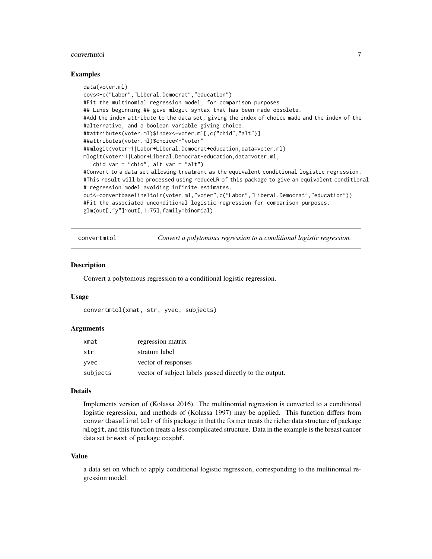#### <span id="page-6-0"></span>convertmtol  $\overline{7}$

#### Examples

```
data(voter.ml)
covs<-c("Labor","Liberal.Democrat","education")
#Fit the multinomial regression model, for comparison purposes.
## Lines beginning ## give mlogit syntax that has been made obsolete.
#Add the index attribute to the data set, giving the index of choice made and the index of the
#alternative, and a boolean variable giving choice.
##attributes(voter.ml)$index<-voter.ml[,c("chid","alt")]
##attributes(voter.ml)$choice<-"voter"
##mlogit(voter~1|Labor+Liberal.Democrat+education,data=voter.ml)
mlogit(voter~1|Labor+Liberal.Democrat+education,data=voter.ml,
   chid.var = "chid", alt.var = "alt")
#Convert to a data set allowing treatment as the equivalent conditional logistic regression.
#This result will be processed using reduceLR of this package to give an equivalent conditional
# regression model avoiding infinite estimates.
out<-convertbaselineltolr(voter.ml,"voter",c("Labor","Liberal.Democrat","education"))
#Fit the associated unconditional logistic regression for comparison purposes.
glm(out[,"y"]~out[,1:75],family=binomial)
```
convertmtol *Convert a polytomous regression to a conditional logistic regression.*

#### **Description**

Convert a polytomous regression to a conditional logistic regression.

#### Usage

```
convertmtol(xmat, str, yvec, subjects)
```
#### Arguments

| xmat     | regression matrix                                       |
|----------|---------------------------------------------------------|
| str      | stratum label                                           |
| vvec     | vector of responses                                     |
| subjects | vector of subject labels passed directly to the output. |

#### Details

Implements version of (Kolassa 2016). The multinomial regression is converted to a conditional logistic regression, and methods of (Kolassa 1997) may be applied. This function differs from convertbaselineltolr of this package in that the former treats the richer data structure of package mlogit, and this function treats a less complicated structure. Data in the example is the breast cancer data set breast of package coxphf.

#### Value

a data set on which to apply conditional logistic regression, corresponding to the multinomial regression model.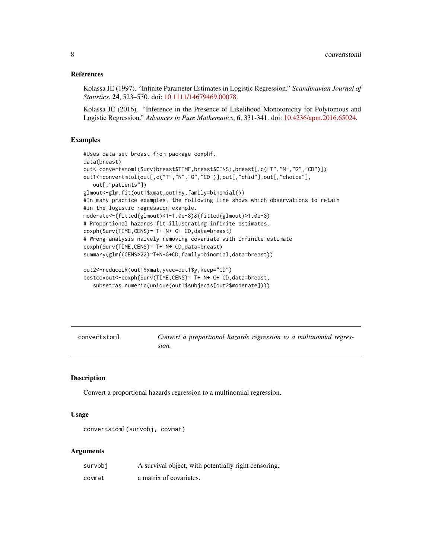#### <span id="page-7-0"></span>References

Kolassa JE (1997). "Infinite Parameter Estimates in Logistic Regression." *Scandinavian Journal of Statistics*, 24, 523–530. doi: [10.1111/14679469.00078.](https://doi.org/10.1111/1467-9469.00078)

Kolassa JE (2016). "Inference in the Presence of Likelihood Monotonicity for Polytomous and Logistic Regression." *Advances in Pure Mathematics*, 6, 331-341. doi: [10.4236/apm.2016.65024.](https://doi.org/10.4236/apm.2016.65024)

## Examples

```
#Uses data set breast from package coxphf.
data(breast)
out<-convertstoml(Surv(breast$TIME,breast$CENS),breast[,c("T","N","G","CD")])
out1<-convertmtol(out[,c("T","N","G","CD")],out[,"chid"],out[,"choice"],
   out[,"patients"])
glmout<-glm.fit(out1$xmat,out1$y,family=binomial())
#In many practice examples, the following line shows which observations to retain
#in the logistic regression example.
moderate<-(fitted(glmout)<1-1.0e-8)&(fitted(glmout)>1.0e-8)
# Proportional hazards fit illustrating infinite estimates.
coxph(Surv(TIME,CENS)~ T+ N+ G+ CD,data=breast)
# Wrong analysis naively removing covariate with infinite estimate
coxph(Surv(TIME,CENS)~ T+ N+ CD,data=breast)
summary(glm((CENS>22)~T+N+G+CD,family=binomial,data=breast))
```

```
out2<-reduceLR(out1$xmat,yvec=out1$y,keep="CD")
bestcoxout<-coxph(Surv(TIME,CENS)~ T+ N+ G+ CD,data=breast,
   subset=as.numeric(unique(out1$subjects[out2$moderate])))
```

| convertstoml | Convert a proportional hazards regression to a multinomial regres- |  |
|--------------|--------------------------------------------------------------------|--|
|              | sion.                                                              |  |

#### Description

Convert a proportional hazards regression to a multinomial regression.

#### Usage

```
convertstoml(survobj, covmat)
```
#### Arguments

| survobi | A survival object, with potentially right censoring. |
|---------|------------------------------------------------------|
| covmat  | a matrix of covariates.                              |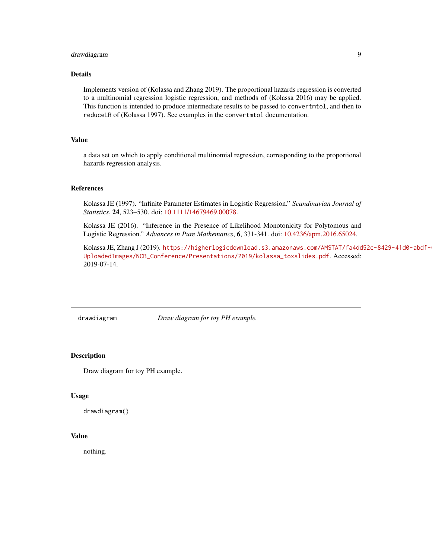## <span id="page-8-0"></span>drawdiagram 9

#### Details

Implements version of (Kolassa and Zhang 2019). The proportional hazards regression is converted to a multinomial regression logistic regression, and methods of (Kolassa 2016) may be applied. This function is intended to produce intermediate results to be passed to convertmtol, and then to reduceLR of (Kolassa 1997). See examples in the convertmtol documentation.

## Value

a data set on which to apply conditional multinomial regression, corresponding to the proportional hazards regression analysis.

#### References

Kolassa JE (1997). "Infinite Parameter Estimates in Logistic Regression." *Scandinavian Journal of Statistics*, 24, 523–530. doi: [10.1111/14679469.00078.](https://doi.org/10.1111/1467-9469.00078)

Kolassa JE (2016). "Inference in the Presence of Likelihood Monotonicity for Polytomous and Logistic Regression." *Advances in Pure Mathematics*, 6, 331-341. doi: [10.4236/apm.2016.65024.](https://doi.org/10.4236/apm.2016.65024)

Kolassa JE, Zhang J (2019). [https://higherlogicdownload.s3.amazonaws.com/AMSTAT/fa4dd](https://higherlogicdownload.s3.amazonaws.com/AMSTAT/fa4dd52c-8429-41d0-abdf-0011047bfa19/UploadedImages/NCB_Conference/Presentations/2019/kolassa_toxslides.pdf)52c-8429-41d0-abdf-[UploadedImages/NCB\\_Conference/Presentations/2019/kolassa\\_toxslides.pdf](https://higherlogicdownload.s3.amazonaws.com/AMSTAT/fa4dd52c-8429-41d0-abdf-0011047bfa19/UploadedImages/NCB_Conference/Presentations/2019/kolassa_toxslides.pdf). Accessed: 2019-07-14.

drawdiagram *Draw diagram for toy PH example.*

#### Description

Draw diagram for toy PH example.

#### Usage

drawdiagram()

#### Value

nothing.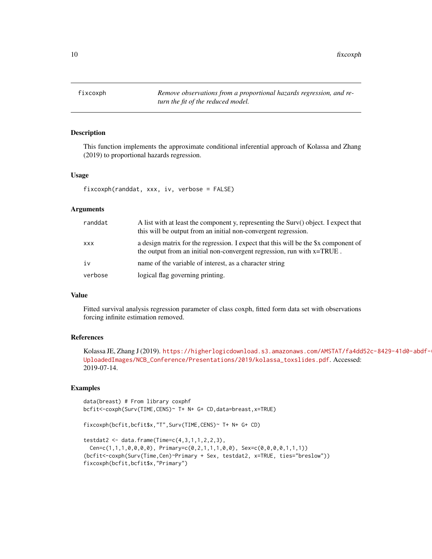<span id="page-9-0"></span>10 fixcoxph

fixcoxph *Remove observations from a proportional hazards regression, and return the fit of the reduced model.*

#### Description

This function implements the approximate conditional inferential approach of Kolassa and Zhang (2019) to proportional hazards regression.

#### Usage

```
fixcoxph(randdat, xxx, iv, verbose = FALSE)
```
#### Arguments

| randdat | A list with at least the component y, representing the Surv() object. I expect that<br>this will be output from an initial non-convergent regression.         |
|---------|---------------------------------------------------------------------------------------------------------------------------------------------------------------|
| XXX     | a design matrix for the regression. I expect that this will be the \$x component of<br>the output from an initial non-convergent regression, run with x=TRUE. |
| iv      | name of the variable of interest, as a character string                                                                                                       |
| verbose | logical flag governing printing.                                                                                                                              |

## Value

Fitted survival analysis regression parameter of class coxph, fitted form data set with observations forcing infinite estimation removed.

## References

Kolassa JE, Zhang J (2019). [https://higherlogicdownload.s3.amazonaws.com/AMSTAT/fa4dd](https://higherlogicdownload.s3.amazonaws.com/AMSTAT/fa4dd52c-8429-41d0-abdf-0011047bfa19/UploadedImages/NCB_Conference/Presentations/2019/kolassa_toxslides.pdf)52c-8429-41d0-abdf-[UploadedImages/NCB\\_Conference/Presentations/2019/kolassa\\_toxslides.pdf](https://higherlogicdownload.s3.amazonaws.com/AMSTAT/fa4dd52c-8429-41d0-abdf-0011047bfa19/UploadedImages/NCB_Conference/Presentations/2019/kolassa_toxslides.pdf). Accessed: 2019-07-14.

## Examples

```
data(breast) # From library coxphf
bcfit<-coxph(Surv(TIME,CENS)~ T+ N+ G+ CD,data=breast,x=TRUE)
fixcoxph(bcfit,bcfit$x,"T",Surv(TIME,CENS)~ T+ N+ G+ CD)
testdat2 <- data.frame(Time=c(4,3,1,1,2,2,3),
```

```
Cen = c(1,1,1,0,0,0,0), Primary=c(0,2,1,1,1,0,0), Sex=c(0,0,0,0,1,1,1))
(bcfit<-coxph(Surv(Time,Cen)~Primary + Sex, testdat2, x=TRUE, ties="breslow"))
fixcoxph(bcfit,bcfit$x,"Primary")
```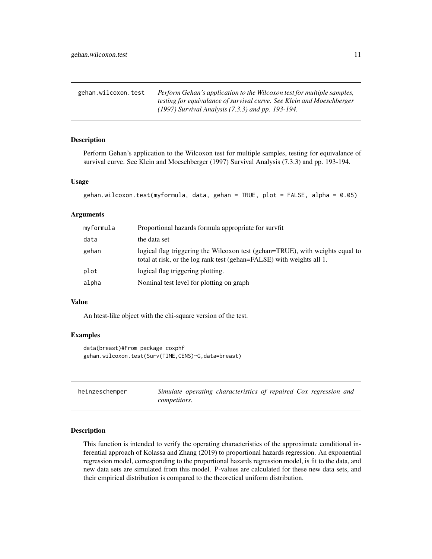<span id="page-10-0"></span>gehan.wilcoxon.test *Perform Gehan's application to the Wilcoxon test for multiple samples, testing for equivalance of survival curve. See Klein and Moeschberger (1997) Survival Analysis (7.3.3) and pp. 193-194.*

## Description

Perform Gehan's application to the Wilcoxon test for multiple samples, testing for equivalance of survival curve. See Klein and Moeschberger (1997) Survival Analysis (7.3.3) and pp. 193-194.

#### Usage

```
gehan.wilcoxon.test(myformula, data, gehan = TRUE, plot = FALSE, alpha = 0.05)
```
#### Arguments

| myformula | Proportional hazards formula appropriate for survfit                                                                                                   |
|-----------|--------------------------------------------------------------------------------------------------------------------------------------------------------|
| data      | the data set                                                                                                                                           |
| gehan     | logical flag triggering the Wilcoxon test (gehan=TRUE), with weights equal to<br>total at risk, or the log rank test (gehan=FALSE) with weights all 1. |
| plot      | logical flag triggering plotting.                                                                                                                      |
| alpha     | Nominal test level for plotting on graph                                                                                                               |

#### Value

An htest-like object with the chi-square version of the test.

#### Examples

```
data(breast)#From package coxphf
gehan.wilcoxon.test(Surv(TIME,CENS)~G,data=breast)
```

| heinzeschemper | Simulate operating characteristics of repaired Cox regression and |  |  |  |
|----------------|-------------------------------------------------------------------|--|--|--|
|                | <i>competitors.</i>                                               |  |  |  |

## Description

This function is intended to verify the operating characteristics of the approximate conditional inferential approach of Kolassa and Zhang (2019) to proportional hazards regression. An exponential regression model, corresponding to the proportional hazards regression model, is fit to the data, and new data sets are simulated from this model. P-values are calculated for these new data sets, and their empirical distribution is compared to the theoretical uniform distribution.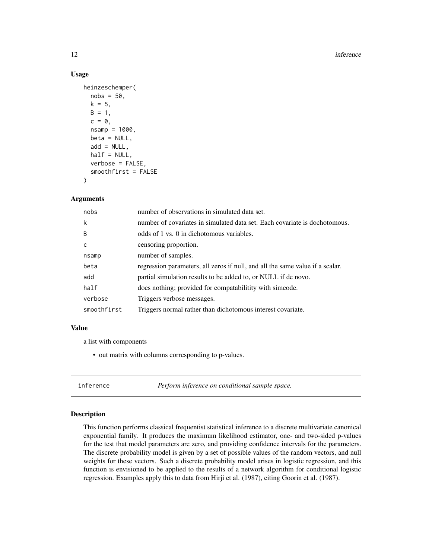#### 12 inference

## Usage

```
heinzeschemper(
  nobs = 50,
  k = 5,
 B = 1,c = 0,
  nsamp = 1000,beta = NULL,
  add = NULL,half = NULL,verbose = FALSE,
  smoothfirst = FALSE
)
```
#### Arguments

| nobs         | number of observations in simulated data set.                                 |
|--------------|-------------------------------------------------------------------------------|
| k            | number of covariates in simulated data set. Each covariate is dochotomous.    |
| B            | odds of 1 vs. 0 in dichotomous variables.                                     |
| $\mathsf{C}$ | censoring proportion.                                                         |
| nsamp        | number of samples.                                                            |
| beta         | regression parameters, all zeros if null, and all the same value if a scalar. |
| add          | partial simulation results to be added to, or NULL if de novo.                |
| half         | does nothing; provided for compatabilitity with simcode.                      |
| verbose      | Triggers verbose messages.                                                    |
| smoothfirst  | Triggers normal rather than dichotomous interest covariate.                   |

#### Value

a list with components

• out matrix with columns corresponding to p-values.

inference *Perform inference on conditional sample space.*

#### Description

This function performs classical frequentist statistical inference to a discrete multivariate canonical exponential family. It produces the maximum likelihood estimator, one- and two-sided p-values for the test that model parameters are zero, and providing confidence intervals for the parameters. The discrete probability model is given by a set of possible values of the random vectors, and null weights for these vectors. Such a discrete probability model arises in logistic regression, and this function is envisioned to be applied to the results of a network algorithm for conditional logistic regression. Examples apply this to data from Hirji et al. (1987), citing Goorin et al. (1987).

<span id="page-11-0"></span>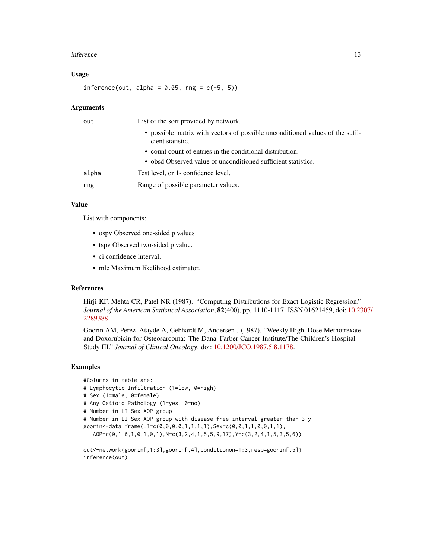#### inference 13

#### Usage

inference(out, alpha =  $0.05$ , rng =  $c(-5, 5)$ )

#### Arguments

| out   | List of the sort provided by network.                                                             |
|-------|---------------------------------------------------------------------------------------------------|
|       | • possible matrix with vectors of possible unconditioned values of the suffi-<br>cient statistic. |
|       | • count count of entries in the conditional distribution.                                         |
|       | • obsd Observed value of unconditioned sufficient statistics.                                     |
| alpha | Test level, or 1- confidence level.                                                               |
| rng   | Range of possible parameter values.                                                               |

#### Value

List with components:

- ospv Observed one-sided p values
- tspv Observed two-sided p value.
- ci confidence interval.
- mle Maximum likelihood estimator.

#### References

Hirji KF, Mehta CR, Patel NR (1987). "Computing Distributions for Exact Logistic Regression." *Journal of the American Statistical Association*, 82(400), pp. 1110-1117. ISSN 01621459, doi: [10.23](https://doi.org/10.2307/2289388)07/ [2289388.](https://doi.org/10.2307/2289388)

Goorin AM, Perez–Atayde A, Gebhardt M, Andersen J (1987). "Weekly High–Dose Methotrexate and Doxorubicin for Osteosarcoma: The Dana–Farber Cancer Institute/The Children's Hospital – Study III." *Journal of Clinical Oncology*. doi: [10.1200/JCO.1987.5.8.1178.](https://doi.org/10.1200/JCO.1987.5.8.1178)

#### Examples

```
#Columns in table are:
# Lymphocytic Infiltration (1=low, 0=high)
# Sex (1=male, 0=female)
# Any Ostioid Pathology (1=yes, 0=no)
# Number in LI-Sex-AOP group
# Number in LI-Sex-AOP group with disease free interval greater than 3 y
goorin<-data.frame(LI=c(0,0,0,0,1,1,1,1),Sex=c(0,0,1,1,0,0,1,1),
  AOP=c(0,1,0,1,0,1,0,1),N=c(3,2,4,1,5,5,9,17),Y=c(3,2,4,1,5,3,5,6))
```
out<-network(goorin[,1:3],goorin[,4],conditionon=1:3,resp=goorin[,5]) inference(out)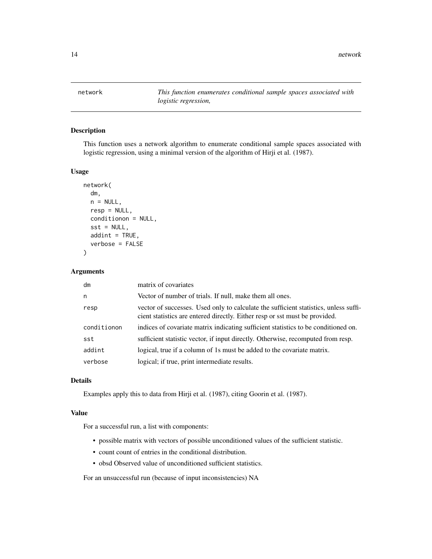<span id="page-13-0"></span>network *This function enumerates conditional sample spaces associated with logistic regression,*

#### Description

This function uses a network algorithm to enumerate conditional sample spaces associated with logistic regression, using a minimal version of the algorithm of Hirji et al. (1987).

## Usage

```
network(
  dm,
  n = NULL,resp = NULL,
  conditionon = NULL,
  sst = NULL,addint = TRUE,verbose = FALSE
\mathcal{L}
```
#### Arguments

| dm          | matrix of covariates                                                                                                                                                |
|-------------|---------------------------------------------------------------------------------------------------------------------------------------------------------------------|
| n           | Vector of number of trials. If null, make them all ones.                                                                                                            |
| resp        | vector of successes. Used only to calculate the sufficient statistics, unless suffi-<br>cient statistics are entered directly. Either resp or sst must be provided. |
| conditionon | indices of covariate matrix indicating sufficient statistics to be conditioned on.                                                                                  |
| sst         | sufficient statistic vector, if input directly. Otherwise, recomputed from resp.                                                                                    |
| addint      | logical, true if a column of 1s must be added to the covariate matrix.                                                                                              |
| verbose     | logical; if true, print intermediate results.                                                                                                                       |

#### Details

Examples apply this to data from Hirji et al. (1987), citing Goorin et al. (1987).

#### Value

For a successful run, a list with components:

- possible matrix with vectors of possible unconditioned values of the sufficient statistic.
- count count of entries in the conditional distribution.
- obsd Observed value of unconditioned sufficient statistics.

For an unsuccessful run (because of input inconsistencies) NA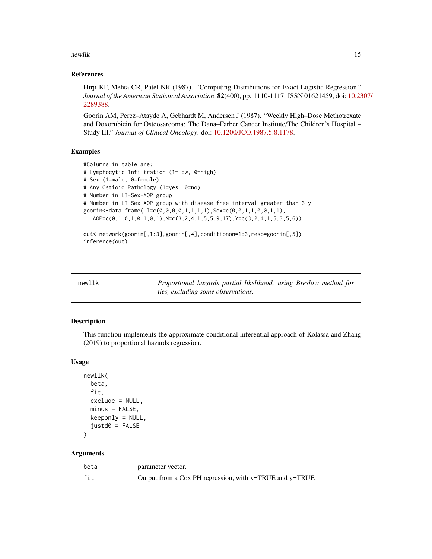<span id="page-14-0"></span>newlik the state of the state of the state of the state of the state of the state of the state of the state of the state of the state of the state of the state of the state of the state of the state of the state of the sta

#### References

Hirji KF, Mehta CR, Patel NR (1987). "Computing Distributions for Exact Logistic Regression." *Journal of the American Statistical Association*, 82(400), pp. 1110-1117. ISSN 01621459, doi: [10.23](https://doi.org/10.2307/2289388)07/ [2289388.](https://doi.org/10.2307/2289388)

Goorin AM, Perez–Atayde A, Gebhardt M, Andersen J (1987). "Weekly High–Dose Methotrexate and Doxorubicin for Osteosarcoma: The Dana–Farber Cancer Institute/The Children's Hospital – Study III." *Journal of Clinical Oncology*. doi: [10.1200/JCO.1987.5.8.1178.](https://doi.org/10.1200/JCO.1987.5.8.1178)

## Examples

```
#Columns in table are:
# Lymphocytic Infiltration (1=low, 0=high)
# Sex (1=male, 0=female)
# Any Ostioid Pathology (1=yes, 0=no)
# Number in LI-Sex-AOP group
# Number in LI-Sex-AOP group with disease free interval greater than 3 y
goorin<-data.frame(LI=c(0,0,0,0,1,1,1,1),Sex=c(0,0,1,1,0,0,1,1),
  AOP=c(0,1,0,1,0,1,0,1),N=c(3,2,4,1,5,5,9,17),Y=c(3,2,4,1,5,3,5,6))
out<-network(goorin[,1:3],goorin[,4],conditionon=1:3,resp=goorin[,5])
```

```
inference(out)
```

| newllk | Proportional hazards partial likelihood, using Breslow method for |  |
|--------|-------------------------------------------------------------------|--|
|        | ties, excluding some observations.                                |  |

## Description

This function implements the approximate conditional inferential approach of Kolassa and Zhang (2019) to proportional hazards regression.

## Usage

```
newllk(
 beta,
  fit,
 exclude = NULL,
 minus = FALSE,keeponly = NULL,
  justd0 = FALSE)
```
## Arguments

| beta | parameter vector.                                       |
|------|---------------------------------------------------------|
| fit  | Output from a Cox PH regression, with x=TRUE and y=TRUE |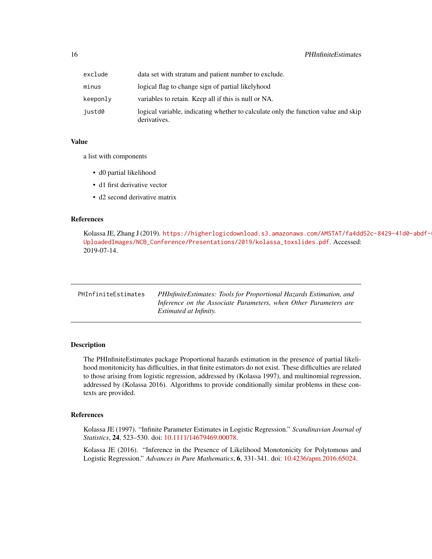<span id="page-15-0"></span>

| exclude  | data set with stratum and patient number to exclude.                                               |
|----------|----------------------------------------------------------------------------------------------------|
| minus    | logical flag to change sign of partial likelyhood                                                  |
| keeponlv | variables to retain. Keep all if this is null or NA.                                               |
| justd0   | logical variable, indicating whether to calculate only the function value and skip<br>derivatives. |

#### Value

a list with components

- d0 partial likelihood
- d1 first derivative vector
- d2 second derivative matrix

#### References

```
https://higherlogicdownload.s3.amazonaws.com/AMSTAT/fa4dd52c-8429-41d0-abdf-
UploadedImages/NCB_Conference/Presentations/2019/kolassa_toxslides.pdf. Accessed:
2019-07-14.
```

| PHInfiniteEstimates | PHInfiniteEstimates: Tools for Proportional Hazards Estimation, and |
|---------------------|---------------------------------------------------------------------|
|                     | Inference on the Associate Parameters, when Other Parameters are    |
|                     | <i>Estimated at Infinity.</i>                                       |

## Description

The PHInfiniteEstimates package Proportional hazards estimation in the presence of partial likelihood monitonicity has difficulties, in that finite estimators do not exist. These difficulties are related to those arising from logistic regression, addressed by (Kolassa 1997), and multinomial regression, addressed by (Kolassa 2016). Algorithms to provide conditionally similar problems in these contexts are provided.

## References

Kolassa JE (1997). "Infinite Parameter Estimates in Logistic Regression." *Scandinavian Journal of Statistics*, 24, 523–530. doi: [10.1111/14679469.00078.](https://doi.org/10.1111/1467-9469.00078)

Kolassa JE (2016). "Inference in the Presence of Likelihood Monotonicity for Polytomous and Logistic Regression." *Advances in Pure Mathematics*, 6, 331-341. doi: [10.4236/apm.2016.65024.](https://doi.org/10.4236/apm.2016.65024)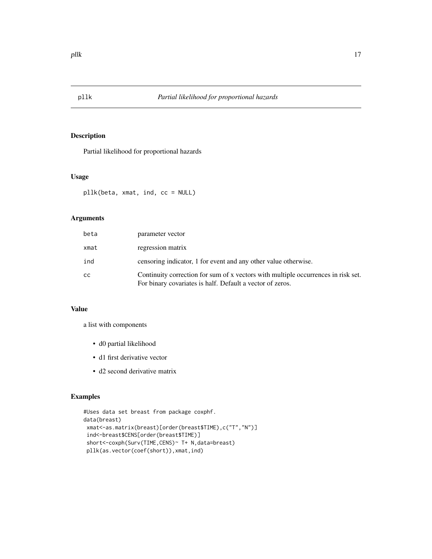<span id="page-16-0"></span>

## Description

Partial likelihood for proportional hazards

#### Usage

pllk(beta, xmat, ind, cc = NULL)

## Arguments

| beta | parameter vector                                                                                                                               |
|------|------------------------------------------------------------------------------------------------------------------------------------------------|
| xmat | regression matrix                                                                                                                              |
| ind  | censoring indicator, 1 for event and any other value otherwise.                                                                                |
| cc   | Continuity correction for sum of x vectors with multiple occurrences in risk set.<br>For binary covariates is half. Default a vector of zeros. |

#### Value

a list with components

- d0 partial likelihood
- d1 first derivative vector
- d2 second derivative matrix

## Examples

```
#Uses data set breast from package coxphf.
data(breast)
xmat<-as.matrix(breast)[order(breast$TIME),c("T","N")]
ind<-breast$CENS[order(breast$TIME)]
short<-coxph(Surv(TIME,CENS)~ T+ N,data=breast)
pllk(as.vector(coef(short)),xmat,ind)
```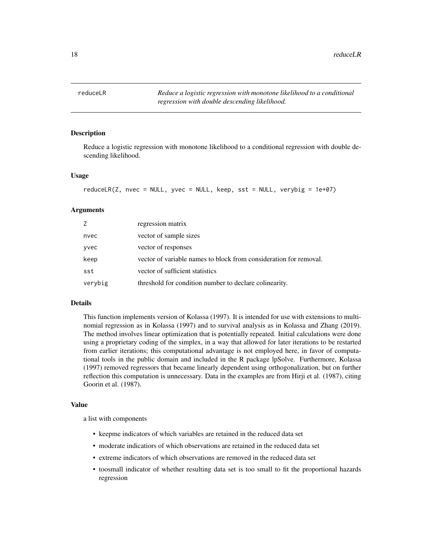<span id="page-17-0"></span>

#### **Description**

Reduce a logistic regression with monotone likelihood to a conditional regression with double descending likelihood.

#### Usage

```
reduceLR(Z, nvec = NULL, yvec = NULL, keep, sst = NULL, verybig = 1e+07)
```
#### Arguments

| Z       | regression matrix                                                 |
|---------|-------------------------------------------------------------------|
| nvec    | vector of sample sizes                                            |
| yvec    | vector of responses                                               |
| keep    | vector of variable names to block from consideration for removal. |
| sst     | vector of sufficient statistics                                   |
| verybig | threshold for condition number to declare colinearity.            |

#### Details

This function implements version of Kolassa (1997). It is intended for use with extensions to multinomial regression as in Kolassa (1997) and to survival analysis as in Kolassa and Zhang (2019). The method involves linear optimization that is potentially repeated. Initial calculations were done using a proprietary coding of the simplex, in a way that allowed for later iterations to be restarted from earlier iterations; this computational advantage is not employed here, in favor of computational tools in the public domain and included in the R package lpSolve. Furthermore, Kolassa (1997) removed regressors that became linearly dependent using orthogonalization, but on further reflection this computation is unnecessary. Data in the examples are from Hirji et al. (1987), citing Goorin et al. (1987).

#### Value

a list with components

- keepme indicators of which variables are retained in the reduced data set
- moderate indicatiors of which observations are retained in the reduced data set
- extreme indicators of which observations are removed in the reduced data set
- toosmall indicator of whether resulting data set is too small to fit the proportional hazards regression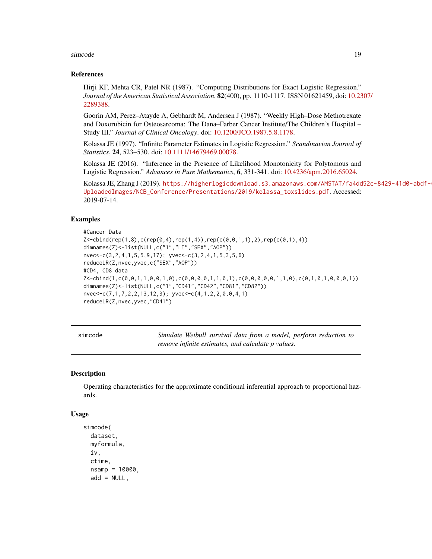#### <span id="page-18-0"></span>simcode the state of the state of the state of the state of the state of the state of the state of the state of the state of the state of the state of the state of the state of the state of the state of the state of the st

#### References

Hirji KF, Mehta CR, Patel NR (1987). "Computing Distributions for Exact Logistic Regression." *Journal of the American Statistical Association*, 82(400), pp. 1110-1117. ISSN 01621459, doi: [10.23](https://doi.org/10.2307/2289388)07/ [2289388.](https://doi.org/10.2307/2289388)

Goorin AM, Perez–Atayde A, Gebhardt M, Andersen J (1987). "Weekly High–Dose Methotrexate and Doxorubicin for Osteosarcoma: The Dana–Farber Cancer Institute/The Children's Hospital – Study III." *Journal of Clinical Oncology*. doi: [10.1200/JCO.1987.5.8.1178.](https://doi.org/10.1200/JCO.1987.5.8.1178)

Kolassa JE (1997). "Infinite Parameter Estimates in Logistic Regression." *Scandinavian Journal of Statistics*, 24, 523–530. doi: [10.1111/14679469.00078.](https://doi.org/10.1111/1467-9469.00078)

Kolassa JE (2016). "Inference in the Presence of Likelihood Monotonicity for Polytomous and Logistic Regression." *Advances in Pure Mathematics*, 6, 331-341. doi: [10.4236/apm.2016.65024.](https://doi.org/10.4236/apm.2016.65024)

Kolassa JE, Zhang J (2019). [https://higherlogicdownload.s3.amazonaws.com/AMSTAT/fa4dd](https://higherlogicdownload.s3.amazonaws.com/AMSTAT/fa4dd52c-8429-41d0-abdf-0011047bfa19/UploadedImages/NCB_Conference/Presentations/2019/kolassa_toxslides.pdf)52c-8429-41d0-abdf-[UploadedImages/NCB\\_Conference/Presentations/2019/kolassa\\_toxslides.pdf](https://higherlogicdownload.s3.amazonaws.com/AMSTAT/fa4dd52c-8429-41d0-abdf-0011047bfa19/UploadedImages/NCB_Conference/Presentations/2019/kolassa_toxslides.pdf). Accessed: 2019-07-14.

#### Examples

```
#Cancer Data
Z <-cbind(rep(1,8),c(rep(0,4),rep(1,4)),rep(c(0,0,1,1),2),rep(c(0,1),4))
dimnames(Z)<-list(NULL,c("1","LI","SEX","AOP"))
nvec<-c(3,2,4,1,5,5,9,17); yvec<-c(3,2,4,1,5,3,5,6)
reduceLR(Z,nvec,yvec,c("SEX","AOP"))
#CD4, CD8 data
Z<-cbind(1,c(0,0,1,1,0,0,1,0),c(0,0,0,0,1,1,0,1),c(0,0,0,0,0,1,1,0),c(0,1,0,1,0,0,0,1))
dimnames(Z)<-list(NULL,c("1","CD41","CD42","CD81","CD82"))
nvec<-c(7,1,7,2,2,13,12,3); yvec<-c(4,1,2,2,0,0,4,1)
reduceLR(Z,nvec,yvec,"CD41")
```
simcode *Simulate Weibull survival data from a model, perform reduction to remove infinite estimates, and calculate p values.*

#### Description

Operating characteristics for the approximate conditional inferential approach to proportional hazards.

#### Usage

```
simcode(
  dataset,
 myformula,
  iv,
  ctime,
  nsamp = 10000,
  add = NULL,
```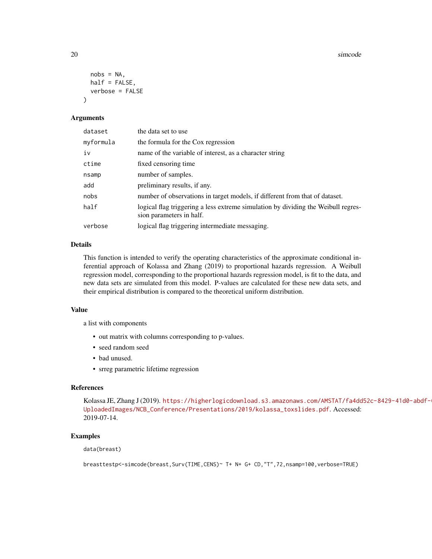20 simcode and the state of the state of the state of the state of the state of the state of the state of the state of the state of the state of the state of the state of the state of the state of the state of the state of

```
nobs = NA,
  half = FALSE,verbose = FALSE
\lambda
```
## Arguments

| dataset   | the data set to use                                                                                           |
|-----------|---------------------------------------------------------------------------------------------------------------|
| myformula | the formula for the Cox regression                                                                            |
| iv        | name of the variable of interest, as a character string                                                       |
| ctime     | fixed censoring time                                                                                          |
| nsamp     | number of samples.                                                                                            |
| add       | preliminary results, if any.                                                                                  |
| nobs      | number of observations in target models, if different from that of dataset.                                   |
| half      | logical flag triggering a less extreme simulation by dividing the Weibull regres-<br>sion parameters in half. |
| verbose   | logical flag triggering intermediate messaging.                                                               |

## Details

This function is intended to verify the operating characteristics of the approximate conditional inferential approach of Kolassa and Zhang (2019) to proportional hazards regression. A Weibull regression model, corresponding to the proportional hazards regression model, is fit to the data, and new data sets are simulated from this model. P-values are calculated for these new data sets, and their empirical distribution is compared to the theoretical uniform distribution.

#### Value

a list with components

- out matrix with columns corresponding to p-values.
- seed random seed
- bad unused.
- srreg parametric lifetime regression

## References

Kolassa JE, Zhang J (2019). [https://higherlogicdownload.s3.amazonaws.com/AMSTAT/fa4dd](https://higherlogicdownload.s3.amazonaws.com/AMSTAT/fa4dd52c-8429-41d0-abdf-0011047bfa19/UploadedImages/NCB_Conference/Presentations/2019/kolassa_toxslides.pdf)52c-8429-41d0-abdf-[UploadedImages/NCB\\_Conference/Presentations/2019/kolassa\\_toxslides.pdf](https://higherlogicdownload.s3.amazonaws.com/AMSTAT/fa4dd52c-8429-41d0-abdf-0011047bfa19/UploadedImages/NCB_Conference/Presentations/2019/kolassa_toxslides.pdf). Accessed: 2019-07-14.

#### Examples

data(breast)

breasttestp<-simcode(breast,Surv(TIME,CENS)~ T+ N+ G+ CD,"T",72,nsamp=100,verbose=TRUE)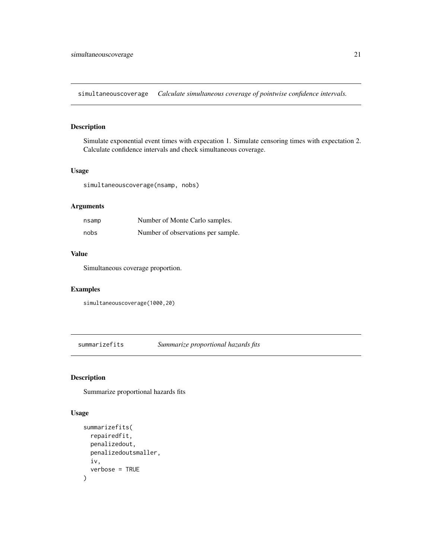<span id="page-20-0"></span>simultaneouscoverage *Calculate simultaneous coverage of pointwise confidence intervals.*

## Description

Simulate exponential event times with expecation 1. Simulate censoring times with expectation 2. Calculate confidence intervals and check simultaneous coverage.

## Usage

simultaneouscoverage(nsamp, nobs)

## Arguments

| nsamp | Number of Monte Carlo samples.     |
|-------|------------------------------------|
| nobs  | Number of observations per sample. |

## Value

Simultaneous coverage proportion.

## Examples

simultaneouscoverage(1000,20)

summarizefits *Summarize proportional hazards fits*

## Description

Summarize proportional hazards fits

#### Usage

```
summarizefits(
 repairedfit,
 penalizedout,
 penalizedoutsmaller,
  iv,
  verbose = TRUE
)
```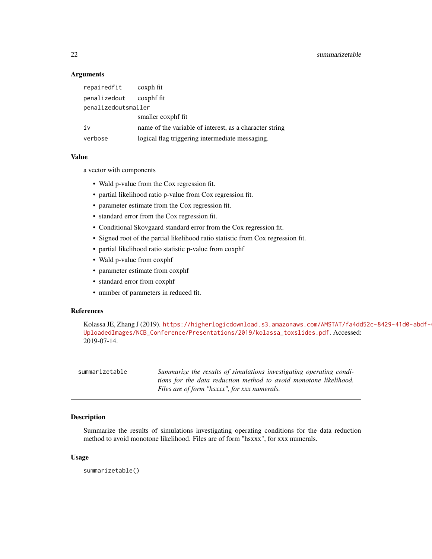## **Arguments**

| repairedfit         | coxph fit                                               |
|---------------------|---------------------------------------------------------|
| penalizedout        | coxphf fit                                              |
| penalizedoutsmaller |                                                         |
|                     | smaller coxphf fit                                      |
| iv                  | name of the variable of interest, as a character string |
| verbose             | logical flag triggering intermediate messaging.         |

#### Value

a vector with components

- Wald p-value from the Cox regression fit.
- partial likelihood ratio p-value from Cox regression fit.
- parameter estimate from the Cox regression fit.
- standard error from the Cox regression fit.
- Conditional Skovgaard standard error from the Cox regression fit.
- Signed root of the partial likelihood ratio statistic from Cox regression fit.
- partial likelihood ratio statistic p-value from coxphf
- Wald p-value from coxphf
- parameter estimate from coxphf
- standard error from coxphf
- number of parameters in reduced fit.

#### References

Kolassa JE, Zhang J (2019). [https://higherlogicdownload.s3.amazonaws.com/AMSTAT/fa4dd](https://higherlogicdownload.s3.amazonaws.com/AMSTAT/fa4dd52c-8429-41d0-abdf-0011047bfa19/UploadedImages/NCB_Conference/Presentations/2019/kolassa_toxslides.pdf)52c-8429-41d0-abdf-[UploadedImages/NCB\\_Conference/Presentations/2019/kolassa\\_toxslides.pdf](https://higherlogicdownload.s3.amazonaws.com/AMSTAT/fa4dd52c-8429-41d0-abdf-0011047bfa19/UploadedImages/NCB_Conference/Presentations/2019/kolassa_toxslides.pdf). Accessed: 2019-07-14.

| Summarize the results of simulations investigating operating condi-                                               |
|-------------------------------------------------------------------------------------------------------------------|
| tions for the data reduction method to avoid monotone likelihood.<br>Files are of form "hsxxx", for xxx numerals. |
|                                                                                                                   |

#### Description

Summarize the results of simulations investigating operating conditions for the data reduction method to avoid monotone likelihood. Files are of form "hsxxx", for xxx numerals.

## Usage

summarizetable()

<span id="page-21-0"></span>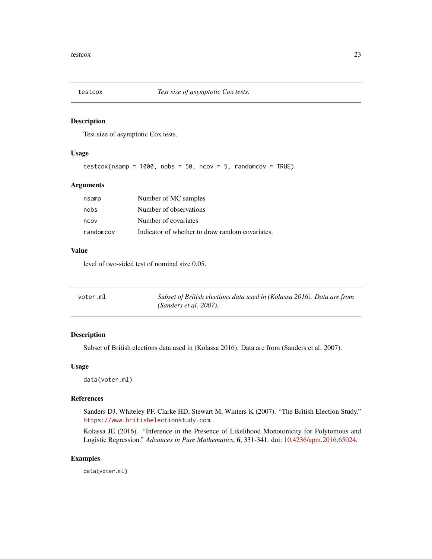<span id="page-22-0"></span>

#### Description

Test size of asymptotic Cox tests.

#### Usage

```
testcox(nsamp = 1000, nobs = 50, ncov = 5, randomcov = TRUE)
```
## Arguments

| randomcov | Indicator of whether to draw random covariates. |
|-----------|-------------------------------------------------|
| ncov      | Number of covariates                            |
| nobs      | Number of observations                          |
| nsamp     | Number of MC samples                            |

#### Value

level of two-sided test of nominal size 0.05.

| voter.ml | Subset of British elections data used in (Kolassa 2016). Data are from |
|----------|------------------------------------------------------------------------|
|          | (Sanders et al. $2007$ ).                                              |

## Description

Subset of British elections data used in (Kolassa 2016). Data are from (Sanders et al. 2007).

#### Usage

data(voter.ml)

#### References

Sanders DJ, Whiteley PF, Clarke HD, Stewart M, Winters K (2007). "The British Election Study." <https://www.britishelectionstudy.com>.

Kolassa JE (2016). "Inference in the Presence of Likelihood Monotonicity for Polytomous and Logistic Regression." *Advances in Pure Mathematics*, 6, 331-341. doi: [10.4236/apm.2016.65024.](https://doi.org/10.4236/apm.2016.65024)

## Examples

data(voter.ml)